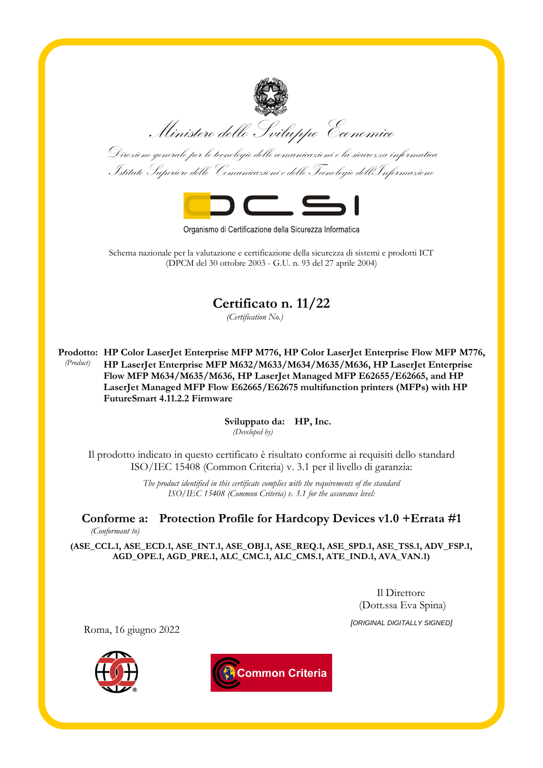Ministero dello Sviluppo Economico Direzione generale per le tecnologie delle comunicazioni e la sicurezza informatica Istituto Superiore delle Comunicazioni e delle Tecnologie dell'Informazione



Organismo di Certificazione della Sicurezza Informatica

Schema nazionale per la valutazione e certificazione della sicurezza di sistemi e prodotti ICT (DPCM del 30 ottobre 2003 - G.U. n. 93 del 27 aprile 2004)

# **Certificato n. 11/22**

*(Certification No.)*

**Prodotto: HP Color LaserJet Enterprise MFP M776, HP Color LaserJet Enterprise Flow MFP M776,**  *(Product)* **HP LaserJet Enterprise MFP M632/M633/M634/M635/M636, HP LaserJet Enterprise Flow MFP M634/M635/M636, HP LaserJet Managed MFP E62655/E62665, and HP LaserJet Managed MFP Flow E62665/E62675 multifunction printers (MFPs) with HP FutureSmart 4.11.2.2 Firmware**

> **Sviluppato da: HP, Inc.** *(Developed by)*

Il prodotto indicato in questo certificato è risultato conforme ai requisiti dello standard ISO/IEC 15408 (Common Criteria) v. 3.1 per il livello di garanzia:

> *The product identified in this certificate complies with the requirements of the standard ISO/IEC 15408 (Common Criteria) v. 3.1 for the assurance level:*

**Conforme a: Protection Profile for Hardcopy Devices v1.0 +Errata #1** *(Conformant to)*

**(ASE\_CCL.1, ASE\_ECD.1, ASE\_INT.1, ASE\_OBJ.1, ASE\_REQ.1, ASE\_SPD.1, ASE\_TSS.1, ADV\_FSP.1, AGD\_OPE.1, AGD\_PRE.1, ALC\_CMC.1, ALC\_CMS.1, ATE\_IND.1, AVA\_VAN.1)**

> Il Direttore (Dott.ssa Eva Spina)

*[ORIGINAL DIGITALLY SIGNED]*

Roma, 16 giugno 2022



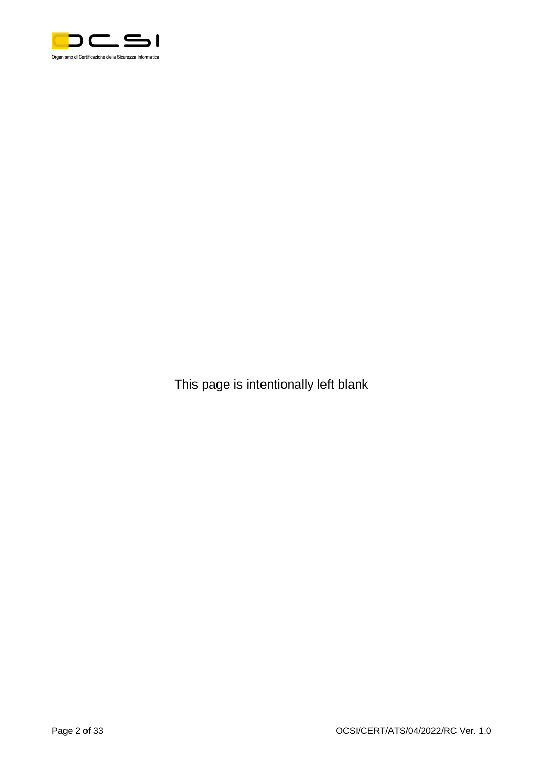

This page is intentionally left blank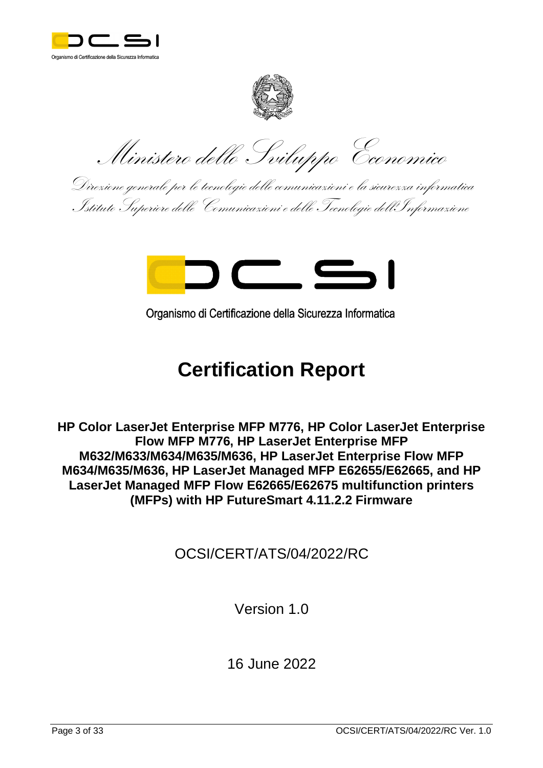



Ministero dello Sviluppo Economico

Direzione generale per le tecnologie delle comunicazioni e la sicurezza informatica Istituto Superiore delle Comunicazioni e delle Tecnologie dell'Informazione



Organismo di Certificazione della Sicurezza Informatica

# **Certification Report**

**HP Color LaserJet Enterprise MFP M776, HP Color LaserJet Enterprise Flow MFP M776, HP LaserJet Enterprise MFP M632/M633/M634/M635/M636, HP LaserJet Enterprise Flow MFP M634/M635/M636, HP LaserJet Managed MFP E62655/E62665, and HP LaserJet Managed MFP Flow E62665/E62675 multifunction printers (MFPs) with HP FutureSmart 4.11.2.2 Firmware**

# OCSI/CERT/ATS/04/2022/RC

Version 1.0

16 June 2022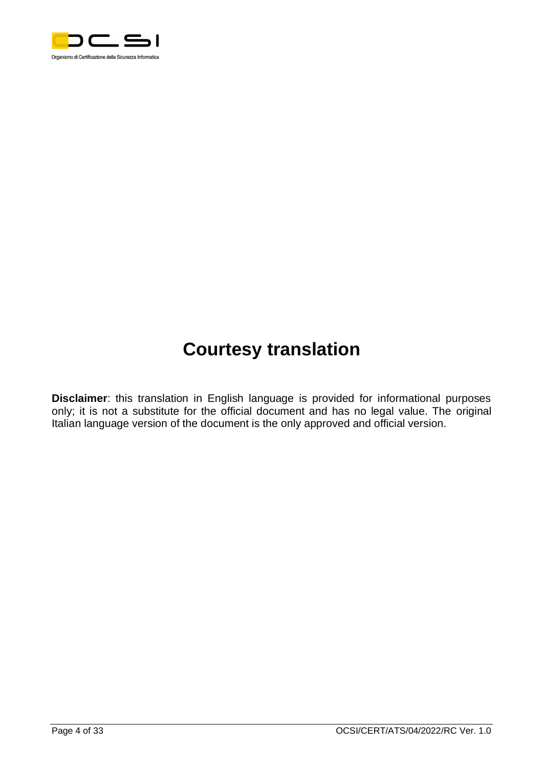

# **Courtesy translation**

**Disclaimer**: this translation in English language is provided for informational purposes only; it is not a substitute for the official document and has no legal value. The original Italian language version of the document is the only approved and official version.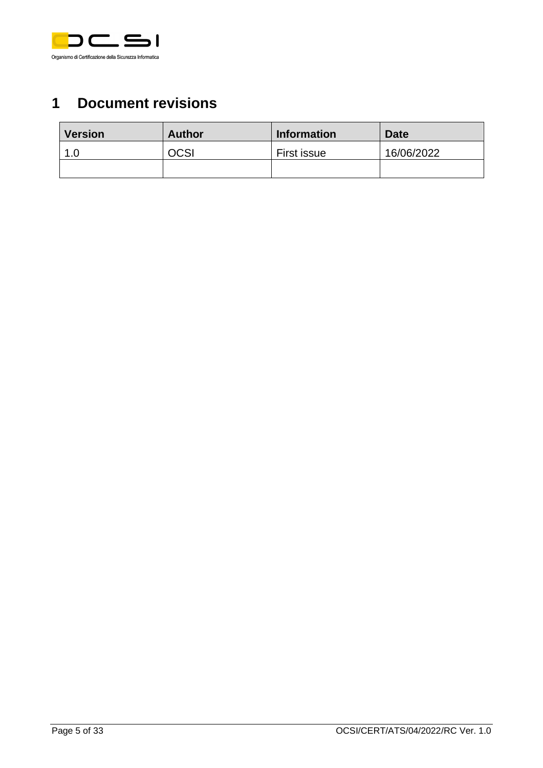

# <span id="page-4-0"></span>**1 Document revisions**

| <b>Version</b> | <b>Author</b> | <b>Information</b> | <b>Date</b> |
|----------------|---------------|--------------------|-------------|
|                | <b>OCSI</b>   | First issue        | 16/06/2022  |
|                |               |                    |             |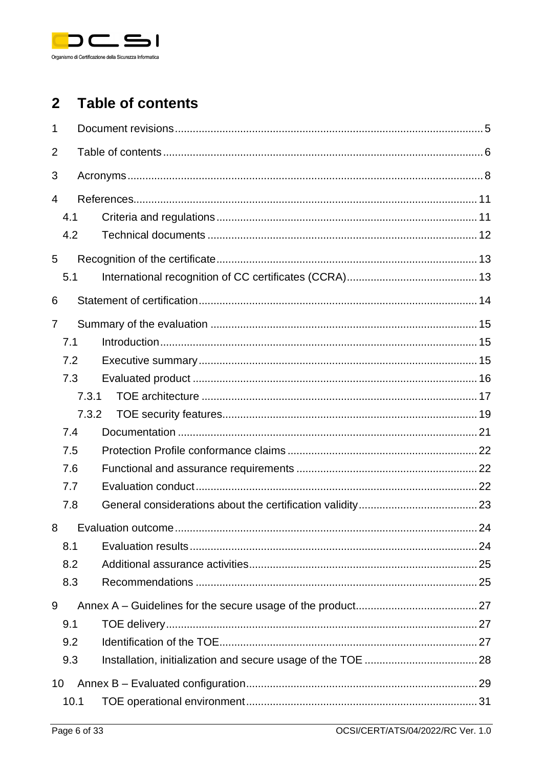

#### <span id="page-5-0"></span> $\overline{2}$ **Table of contents**

| 1              |       |                           |    |
|----------------|-------|---------------------------|----|
| $\overline{2}$ |       |                           |    |
| 3              |       |                           |    |
| 4              |       |                           |    |
|                | 4.1   |                           |    |
|                | 4.2   |                           |    |
| 5              |       |                           |    |
|                | 5.1   |                           |    |
| 6              |       |                           |    |
| 7              |       |                           |    |
|                | 7.1   |                           |    |
|                | 7.2   |                           |    |
|                | 7.3   |                           |    |
|                | 7.3.1 |                           |    |
|                | 7.3.2 |                           |    |
|                | 7.4   |                           |    |
|                | 7.5   |                           |    |
|                | 7.6   |                           |    |
|                | 7.7   |                           |    |
|                | 7.8   |                           |    |
| 8              |       | <b>Evaluation outcome</b> | 24 |
|                | 8.1   |                           |    |
|                | 8.2   |                           |    |
|                | 8.3   |                           |    |
| 9              |       |                           |    |
|                | 9.1   |                           |    |
|                | 9.2   |                           |    |
|                | 9.3   |                           |    |
| 10             |       |                           |    |
|                | 10.1  |                           |    |
|                |       |                           |    |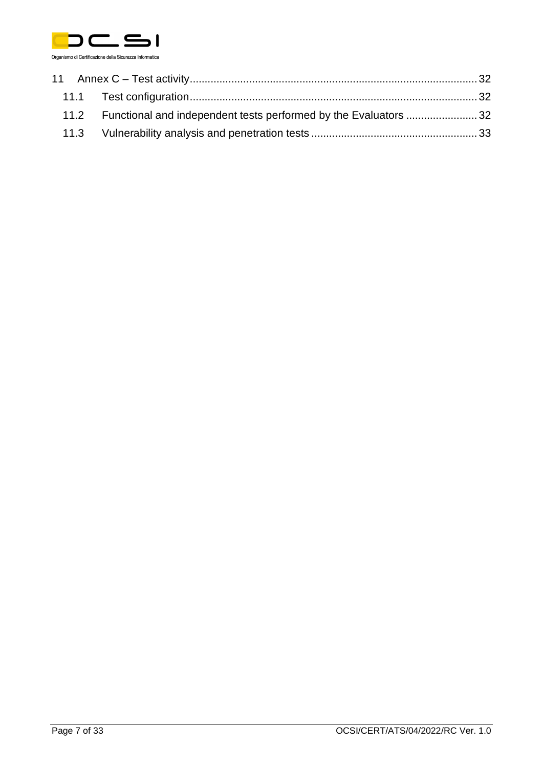

|  | 11.2 Functional and independent tests performed by the Evaluators 32 |  |
|--|----------------------------------------------------------------------|--|
|  |                                                                      |  |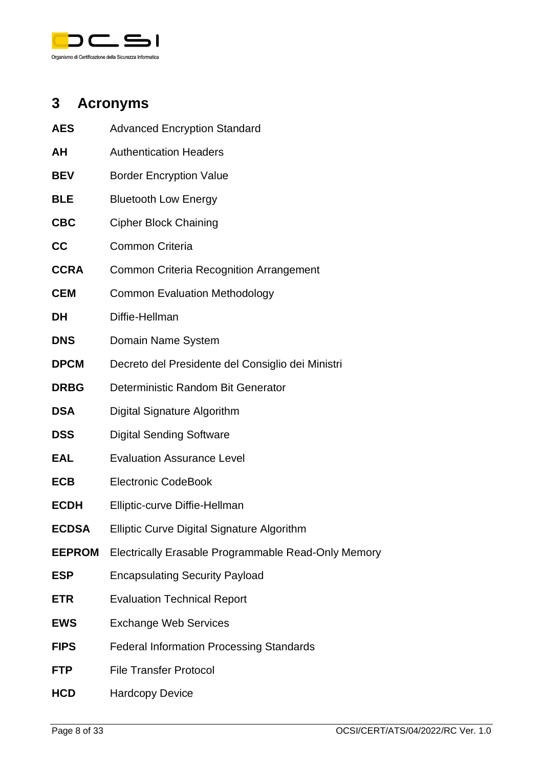

# <span id="page-7-0"></span>**3 Acronyms**

| AES           | <b>Advanced Encryption Standard</b>                 |
|---------------|-----------------------------------------------------|
| ΑH            | <b>Authentication Headers</b>                       |
| <b>BEV</b>    | <b>Border Encryption Value</b>                      |
| BLE           | <b>Bluetooth Low Energy</b>                         |
| <b>CBC</b>    | <b>Cipher Block Chaining</b>                        |
| cc            | <b>Common Criteria</b>                              |
| <b>CCRA</b>   | <b>Common Criteria Recognition Arrangement</b>      |
| <b>CEM</b>    | <b>Common Evaluation Methodology</b>                |
| DH            | Diffie-Hellman                                      |
| <b>DNS</b>    | Domain Name System                                  |
| <b>DPCM</b>   | Decreto del Presidente del Consiglio dei Ministri   |
| <b>DRBG</b>   | Deterministic Random Bit Generator                  |
| <b>DSA</b>    | Digital Signature Algorithm                         |
| <b>DSS</b>    | <b>Digital Sending Software</b>                     |
| <b>EAL</b>    | <b>Evaluation Assurance Level</b>                   |
| <b>ECB</b>    | <b>Electronic CodeBook</b>                          |
| <b>ECDH</b>   | Elliptic-curve Diffie-Hellman                       |
| <b>ECDSA</b>  | <b>Elliptic Curve Digital Signature Algorithm</b>   |
| <b>EEPROM</b> | Electrically Erasable Programmable Read-Only Memory |
| <b>ESP</b>    | <b>Encapsulating Security Payload</b>               |
| <b>ETR</b>    | <b>Evaluation Technical Report</b>                  |
| <b>EWS</b>    | <b>Exchange Web Services</b>                        |
| <b>FIPS</b>   | <b>Federal Information Processing Standards</b>     |
| <b>FTP</b>    | <b>File Transfer Protocol</b>                       |
| HCD           | <b>Hardcopy Device</b>                              |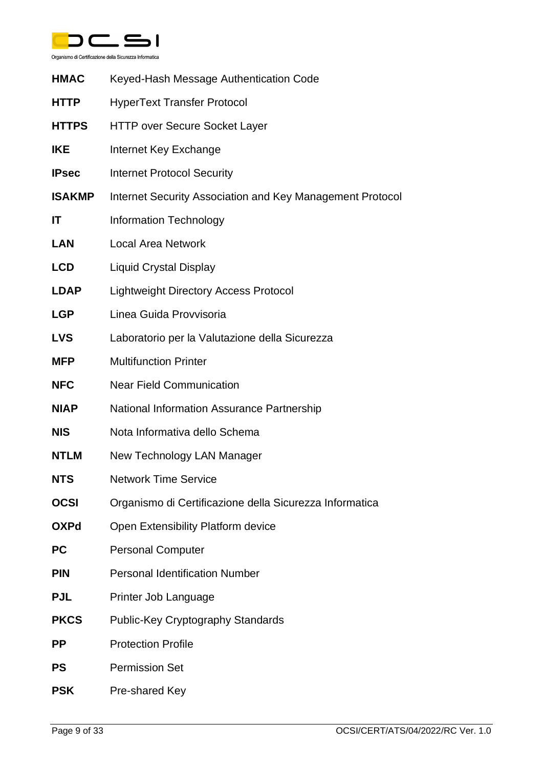

| <b>HMAC</b>   | Keyed-Hash Message Authentication Code                    |
|---------------|-----------------------------------------------------------|
| <b>HTTP</b>   | <b>HyperText Transfer Protocol</b>                        |
| <b>HTTPS</b>  | <b>HTTP over Secure Socket Layer</b>                      |
| <b>IKE</b>    | Internet Key Exchange                                     |
| <b>IPsec</b>  | <b>Internet Protocol Security</b>                         |
| <b>ISAKMP</b> | Internet Security Association and Key Management Protocol |
| IT            | <b>Information Technology</b>                             |
| <b>LAN</b>    | <b>Local Area Network</b>                                 |
| <b>LCD</b>    | <b>Liquid Crystal Display</b>                             |
| <b>LDAP</b>   | <b>Lightweight Directory Access Protocol</b>              |
| <b>LGP</b>    | Linea Guida Provvisoria                                   |
| <b>LVS</b>    | Laboratorio per la Valutazione della Sicurezza            |
| <b>MFP</b>    | <b>Multifunction Printer</b>                              |
| <b>NFC</b>    | <b>Near Field Communication</b>                           |
| <b>NIAP</b>   | National Information Assurance Partnership                |
| <b>NIS</b>    | Nota Informativa dello Schema                             |
| <b>NTLM</b>   | New Technology LAN Manager                                |
| <b>NTS</b>    | <b>Network Time Service</b>                               |
| <b>OCSI</b>   | Organismo di Certificazione della Sicurezza Informatica   |
| <b>OXPd</b>   | Open Extensibility Platform device                        |
| <b>PC</b>     | <b>Personal Computer</b>                                  |
| <b>PIN</b>    | <b>Personal Identification Number</b>                     |
| <b>PJL</b>    | Printer Job Language                                      |
| <b>PKCS</b>   | <b>Public-Key Cryptography Standards</b>                  |
| <b>PP</b>     | <b>Protection Profile</b>                                 |
| <b>PS</b>     | <b>Permission Set</b>                                     |
| <b>PSK</b>    | Pre-shared Key                                            |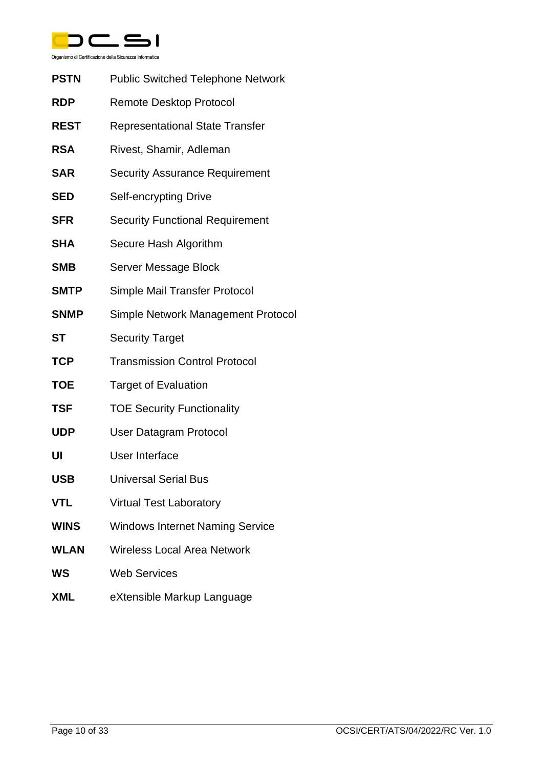

| <b>PSTN</b> | <b>Public Switched Telephone Network</b> |
|-------------|------------------------------------------|
| <b>RDP</b>  | <b>Remote Desktop Protocol</b>           |
| REST        | <b>Representational State Transfer</b>   |
| <b>RSA</b>  | Rivest, Shamir, Adleman                  |
| <b>SAR</b>  | <b>Security Assurance Requirement</b>    |
| SED         | Self-encrypting Drive                    |
| SFR         | <b>Security Functional Requirement</b>   |
| SHA         | Secure Hash Algorithm                    |
| <b>SMB</b>  | Server Message Block                     |
| SMTP        | Simple Mail Transfer Protocol            |
| <b>SNMP</b> | Simple Network Management Protocol       |
| ST          | <b>Security Target</b>                   |
| TCP         | <b>Transmission Control Protocol</b>     |
| TOE         | <b>Target of Evaluation</b>              |
| TSF         | <b>TOE Security Functionality</b>        |
| <b>UDP</b>  | <b>User Datagram Protocol</b>            |
| UI          | User Interface                           |
| USB         | <b>Universal Serial Bus</b>              |
| VTL         | <b>Virtual Test Laboratory</b>           |
| WINS        | <b>Windows Internet Naming Service</b>   |
| WLAN        | <b>Wireless Local Area Network</b>       |
| WS          | <b>Web Services</b>                      |
| XML         | eXtensible Markup Language               |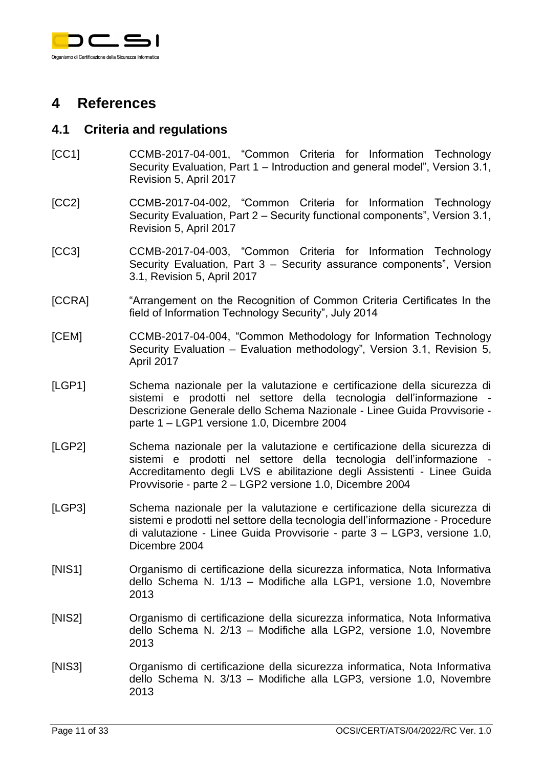

### <span id="page-10-0"></span>**4 References**

#### <span id="page-10-1"></span>**4.1 Criteria and regulations**

- [CC1] CCMB-2017-04-001, "Common Criteria for Information Technology Security Evaluation, Part 1 – Introduction and general model", Version 3.1, Revision 5, April 2017
- [CC2] CCMB-2017-04-002, "Common Criteria for Information Technology Security Evaluation, Part 2 – Security functional components", Version 3.1, Revision 5, April 2017
- [CC3] CCMB-2017-04-003, "Common Criteria for Information Technology Security Evaluation, Part 3 – Security assurance components", Version 3.1, Revision 5, April 2017
- [CCRA] "Arrangement on the Recognition of Common Criteria Certificates In the field of Information Technology Security", July 2014
- [CEM] CCMB-2017-04-004, "Common Methodology for Information Technology Security Evaluation – Evaluation methodology", Version 3.1, Revision 5, April 2017
- [LGP1] Schema nazionale per la valutazione e certificazione della sicurezza di sistemi e prodotti nel settore della tecnologia dell'informazione - Descrizione Generale dello Schema Nazionale - Linee Guida Provvisorie parte 1 – LGP1 versione 1.0, Dicembre 2004
- [LGP2] Schema nazionale per la valutazione e certificazione della sicurezza di sistemi e prodotti nel settore della tecnologia dell'informazione - Accreditamento degli LVS e abilitazione degli Assistenti - Linee Guida Provvisorie - parte 2 – LGP2 versione 1.0, Dicembre 2004
- [LGP3] Schema nazionale per la valutazione e certificazione della sicurezza di sistemi e prodotti nel settore della tecnologia dell'informazione - Procedure di valutazione - Linee Guida Provvisorie - parte 3 – LGP3, versione 1.0, Dicembre 2004
- [NIS1] Organismo di certificazione della sicurezza informatica, Nota Informativa dello Schema N. 1/13 – Modifiche alla LGP1, versione 1.0, Novembre 2013
- [NIS2] Organismo di certificazione della sicurezza informatica, Nota Informativa dello Schema N. 2/13 – Modifiche alla LGP2, versione 1.0, Novembre 2013
- [NIS3] Organismo di certificazione della sicurezza informatica, Nota Informativa dello Schema N. 3/13 – Modifiche alla LGP3, versione 1.0, Novembre 2013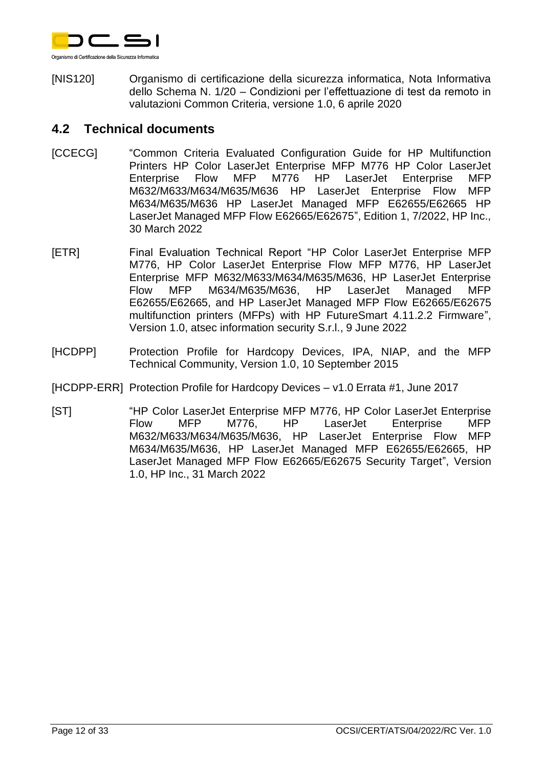

[NIS120] Organismo di certificazione della sicurezza informatica, Nota Informativa dello Schema N. 1/20 – Condizioni per l'effettuazione di test da remoto in valutazioni Common Criteria, versione 1.0, 6 aprile 2020

#### <span id="page-11-0"></span>**4.2 Technical documents**

- [CCECG] "Common Criteria Evaluated Configuration Guide for HP Multifunction Printers HP Color LaserJet Enterprise MFP M776 HP Color LaserJet Enterprise Flow MFP M776 HP LaserJet Enterprise MFP M632/M633/M634/M635/M636 HP LaserJet Enterprise Flow MFP M634/M635/M636 HP LaserJet Managed MFP E62655/E62665 HP LaserJet Managed MFP Flow E62665/E62675", Edition 1, 7/2022, HP Inc., 30 March 2022
- [ETR] Final Evaluation Technical Report "HP Color LaserJet Enterprise MFP M776, HP Color LaserJet Enterprise Flow MFP M776, HP LaserJet Enterprise MFP M632/M633/M634/M635/M636, HP LaserJet Enterprise Flow MFP M634/M635/M636, HP LaserJet Managed MFP E62655/E62665, and HP LaserJet Managed MFP Flow E62665/E62675 multifunction printers (MFPs) with HP FutureSmart 4.11.2.2 Firmware", Version 1.0, atsec information security S.r.l., 9 June 2022
- [HCDPP] Protection Profile for Hardcopy Devices, IPA, NIAP, and the MFP Technical Community, Version 1.0, 10 September 2015
- [HCDPP-ERR] Protection Profile for Hardcopy Devices v1.0 Errata #1, June 2017
- [ST] "HP Color LaserJet Enterprise MFP M776, HP Color LaserJet Enterprise Flow MFP M776, HP LaserJet Enterprise MFP M632/M633/M634/M635/M636, HP LaserJet Enterprise Flow MFP M634/M635/M636, HP LaserJet Managed MFP E62655/E62665, HP LaserJet Managed MFP Flow E62665/E62675 Security Target", Version 1.0, HP Inc., 31 March 2022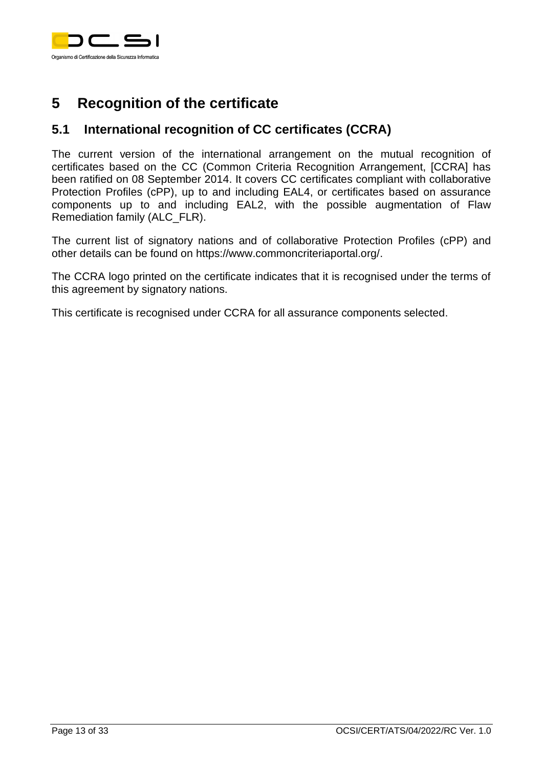

# <span id="page-12-0"></span>**5 Recognition of the certificate**

#### <span id="page-12-1"></span>**5.1 International recognition of CC certificates (CCRA)**

The current version of the international arrangement on the mutual recognition of certificates based on the CC (Common Criteria Recognition Arrangement, [CCRA] has been ratified on 08 September 2014. It covers CC certificates compliant with collaborative Protection Profiles (cPP), up to and including EAL4, or certificates based on assurance components up to and including EAL2, with the possible augmentation of Flaw Remediation family (ALC\_FLR).

The current list of signatory nations and of collaborative Protection Profiles (cPP) and other details can be found on https://www.commoncriteriaportal.org/.

The CCRA logo printed on the certificate indicates that it is recognised under the terms of this agreement by signatory nations.

This certificate is recognised under CCRA for all assurance components selected.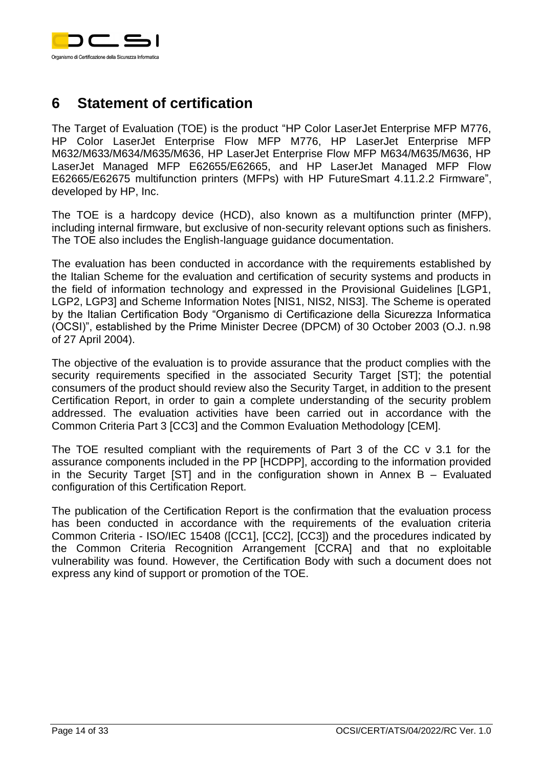

# <span id="page-13-0"></span>**6 Statement of certification**

The Target of Evaluation (TOE) is the product "HP Color LaserJet Enterprise MFP M776, HP Color LaserJet Enterprise Flow MFP M776, HP LaserJet Enterprise MFP M632/M633/M634/M635/M636, HP LaserJet Enterprise Flow MFP M634/M635/M636, HP LaserJet Managed MFP E62655/E62665, and HP LaserJet Managed MFP Flow E62665/E62675 multifunction printers (MFPs) with HP FutureSmart 4.11.2.2 Firmware", developed by HP, Inc.

The TOE is a hardcopy device (HCD), also known as a multifunction printer (MFP), including internal firmware, but exclusive of non-security relevant options such as finishers. The TOE also includes the English-language guidance documentation.

The evaluation has been conducted in accordance with the requirements established by the Italian Scheme for the evaluation and certification of security systems and products in the field of information technology and expressed in the Provisional Guidelines [LGP1, LGP2, LGP3] and Scheme Information Notes [NIS1, NIS2, NIS3]. The Scheme is operated by the Italian Certification Body "Organismo di Certificazione della Sicurezza Informatica (OCSI)", established by the Prime Minister Decree (DPCM) of 30 October 2003 (O.J. n.98 of 27 April 2004).

The objective of the evaluation is to provide assurance that the product complies with the security requirements specified in the associated Security Target [ST]; the potential consumers of the product should review also the Security Target, in addition to the present Certification Report, in order to gain a complete understanding of the security problem addressed. The evaluation activities have been carried out in accordance with the Common Criteria Part 3 [CC3] and the Common Evaluation Methodology [CEM].

The TOE resulted compliant with the requirements of Part 3 of the CC v 3.1 for the assurance components included in the PP [HCDPP], according to the information provided in the Security Target [ST] and in the configuration shown in Annex  $B - E$ valuated [configuration](#page-28-0) of this Certification Report.

The publication of the Certification Report is the confirmation that the evaluation process has been conducted in accordance with the requirements of the evaluation criteria Common Criteria - ISO/IEC 15408 ([CC1], [CC2], [CC3]) and the procedures indicated by the Common Criteria Recognition Arrangement [CCRA] and that no exploitable vulnerability was found. However, the Certification Body with such a document does not express any kind of support or promotion of the TOE.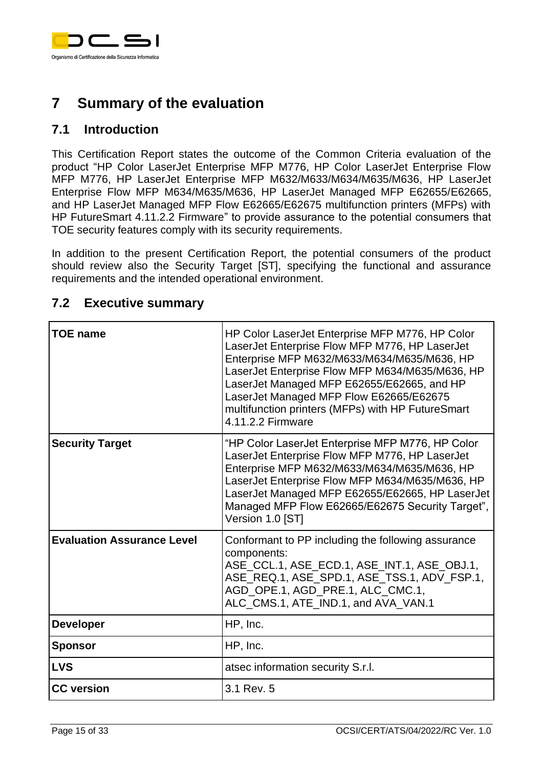

# <span id="page-14-0"></span>**7 Summary of the evaluation**

#### <span id="page-14-1"></span>**7.1 Introduction**

This Certification Report states the outcome of the Common Criteria evaluation of the product "HP Color LaserJet Enterprise MFP M776, HP Color LaserJet Enterprise Flow MFP M776, HP LaserJet Enterprise MFP M632/M633/M634/M635/M636, HP LaserJet Enterprise Flow MFP M634/M635/M636, HP LaserJet Managed MFP E62655/E62665, and HP LaserJet Managed MFP Flow E62665/E62675 multifunction printers (MFPs) with HP FutureSmart 4.11.2.2 Firmware" to provide assurance to the potential consumers that TOE security features comply with its security requirements.

In addition to the present Certification Report, the potential consumers of the product should review also the Security Target [ST], specifying the functional and assurance requirements and the intended operational environment.

| <b>TOE name</b>                   | HP Color LaserJet Enterprise MFP M776, HP Color<br>LaserJet Enterprise Flow MFP M776, HP LaserJet<br>Enterprise MFP M632/M633/M634/M635/M636, HP<br>LaserJet Enterprise Flow MFP M634/M635/M636, HP<br>LaserJet Managed MFP E62655/E62665, and HP<br>LaserJet Managed MFP Flow E62665/E62675<br>multifunction printers (MFPs) with HP FutureSmart<br>4.11.2.2 Firmware |
|-----------------------------------|------------------------------------------------------------------------------------------------------------------------------------------------------------------------------------------------------------------------------------------------------------------------------------------------------------------------------------------------------------------------|
| <b>Security Target</b>            | "HP Color LaserJet Enterprise MFP M776, HP Color<br>LaserJet Enterprise Flow MFP M776, HP LaserJet<br>Enterprise MFP M632/M633/M634/M635/M636, HP<br>LaserJet Enterprise Flow MFP M634/M635/M636, HP<br>LaserJet Managed MFP E62655/E62665, HP LaserJet<br>Managed MFP Flow E62665/E62675 Security Target",<br>Version 1.0 [ST]                                        |
| <b>Evaluation Assurance Level</b> | Conformant to PP including the following assurance<br>components:<br>ASE_CCL.1, ASE_ECD.1, ASE_INT.1, ASE_OBJ.1,<br>ASE_REQ.1, ASE_SPD.1, ASE_TSS.1, ADV_FSP.1,<br>AGD_OPE.1, AGD_PRE.1, ALC_CMC.1,<br>ALC_CMS.1, ATE_IND.1, and AVA_VAN.1                                                                                                                             |
| <b>Developer</b>                  | HP, Inc.                                                                                                                                                                                                                                                                                                                                                               |
| <b>Sponsor</b>                    | HP, Inc.                                                                                                                                                                                                                                                                                                                                                               |
| <b>LVS</b>                        | atsec information security S.r.l.                                                                                                                                                                                                                                                                                                                                      |
| <b>CC</b> version                 | 3.1 Rev. 5                                                                                                                                                                                                                                                                                                                                                             |

#### <span id="page-14-2"></span>**7.2 Executive summary**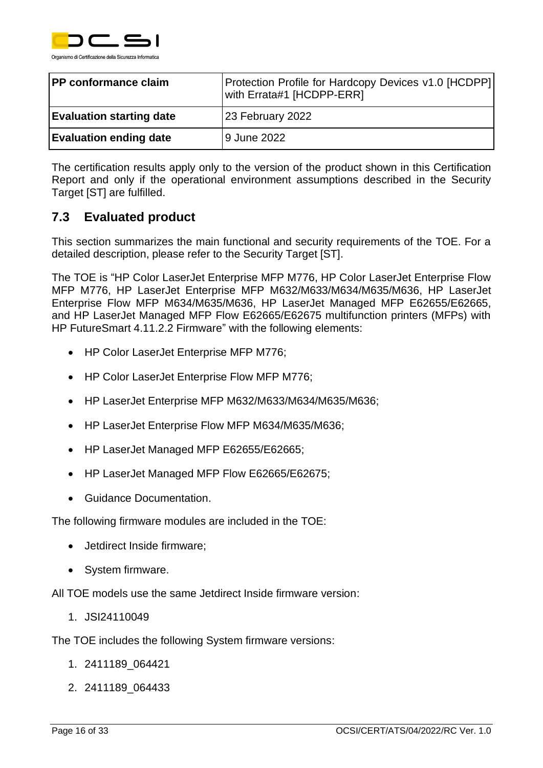

| <b>PP conformance claim</b>     | <b>Protection Profile for Hardcopy Devices v1.0 [HCDPP]</b><br>with Errata#1 [HCDPP-ERR] |
|---------------------------------|------------------------------------------------------------------------------------------|
| <b>Evaluation starting date</b> | 23 February 2022                                                                         |
| <b>Evaluation ending date</b>   | 9 June 2022                                                                              |

The certification results apply only to the version of the product shown in this Certification Report and only if the operational environment assumptions described in the Security Target [ST] are fulfilled.

# <span id="page-15-0"></span>**7.3 Evaluated product**

This section summarizes the main functional and security requirements of the TOE. For a detailed description, please refer to the Security Target [ST].

The TOE is "HP Color LaserJet Enterprise MFP M776, HP Color LaserJet Enterprise Flow MFP M776, HP LaserJet Enterprise MFP M632/M633/M634/M635/M636, HP LaserJet Enterprise Flow MFP M634/M635/M636, HP LaserJet Managed MFP E62655/E62665, and HP LaserJet Managed MFP Flow E62665/E62675 multifunction printers (MFPs) with HP FutureSmart 4.11.2.2 Firmware" with the following elements:

- HP Color LaserJet Enterprise MFP M776;
- HP Color LaserJet Enterprise Flow MFP M776;
- HP LaserJet Enterprise MFP M632/M633/M634/M635/M636;
- HP LaserJet Enterprise Flow MFP M634/M635/M636;
- HP LaserJet Managed MFP E62655/E62665;
- HP LaserJet Managed MFP Flow E62665/E62675;
- Guidance Documentation.

The following firmware modules are included in the TOE:

- Jetdirect Inside firmware;
- System firmware.

All TOE models use the same Jetdirect Inside firmware version:

1. JSI24110049

The TOE includes the following System firmware versions:

- 1. 2411189\_064421
- 2. 2411189\_064433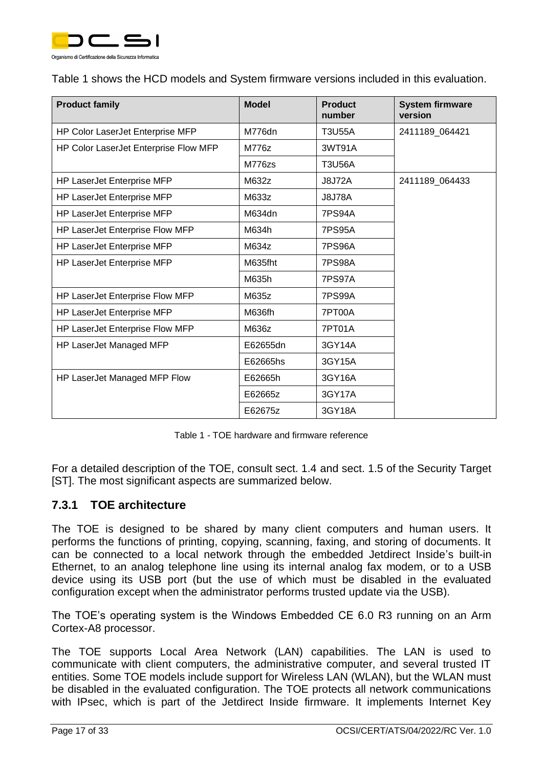

[Table 1](#page-16-1) shows the HCD models and System firmware versions included in this evaluation.

| <b>Product family</b>                 | <b>Model</b> | <b>Product</b><br>number | <b>System firmware</b><br>version |
|---------------------------------------|--------------|--------------------------|-----------------------------------|
| HP Color LaserJet Enterprise MFP      | M776dn       | <b>T3U55A</b>            | 2411189 064421                    |
| HP Color LaserJet Enterprise Flow MFP | M776z        | 3WT91A                   |                                   |
|                                       | M776zs       | <b>T3U56A</b>            |                                   |
| HP LaserJet Enterprise MFP            | M632z        | <b>J8J72A</b>            | 2411189 064433                    |
| HP LaserJet Enterprise MFP            | M633z        | <b>J8J78A</b>            |                                   |
| HP LaserJet Enterprise MFP            | M634dn       | 7PS94A                   |                                   |
| HP LaserJet Enterprise Flow MFP       | M634h        | <b>7PS95A</b>            |                                   |
| <b>HP LaserJet Enterprise MFP</b>     | M634z        | <b>7PS96A</b>            |                                   |
| HP LaserJet Enterprise MFP            | M635fht      | <b>7PS98A</b>            |                                   |
|                                       | M635h        | <b>7PS97A</b>            |                                   |
| HP LaserJet Enterprise Flow MFP       | M635z        | <b>7PS99A</b>            |                                   |
| HP LaserJet Enterprise MFP            | M636fh       | 7PT00A                   |                                   |
| HP LaserJet Enterprise Flow MFP       | M636z        | 7PT01A                   |                                   |
| HP LaserJet Managed MFP               | E62655dn     | 3GY14A                   |                                   |
|                                       | E62665hs     | 3GY15A                   |                                   |
| HP LaserJet Managed MFP Flow          | E62665h      | 3GY16A                   |                                   |
|                                       | E62665z      | 3GY17A                   |                                   |
|                                       | E62675z      | 3GY18A                   |                                   |

Table 1 - TOE hardware and firmware reference

<span id="page-16-1"></span>For a detailed description of the TOE, consult sect. 1.4 and sect. 1.5 of the Security Target [ST]. The most significant aspects are summarized below.

#### <span id="page-16-0"></span>**7.3.1 TOE architecture**

The TOE is designed to be shared by many client computers and human users. It performs the functions of printing, copying, scanning, faxing, and storing of documents. It can be connected to a local network through the embedded Jetdirect Inside's built-in Ethernet, to an analog telephone line using its internal analog fax modem, or to a USB device using its USB port (but the use of which must be disabled in the evaluated configuration except when the administrator performs trusted update via the USB).

The TOE's operating system is the Windows Embedded CE 6.0 R3 running on an Arm Cortex-A8 processor.

The TOE supports Local Area Network (LAN) capabilities. The LAN is used to communicate with client computers, the administrative computer, and several trusted IT entities. Some TOE models include support for Wireless LAN (WLAN), but the WLAN must be disabled in the evaluated configuration. The TOE protects all network communications with IPsec, which is part of the Jetdirect Inside firmware. It implements Internet Key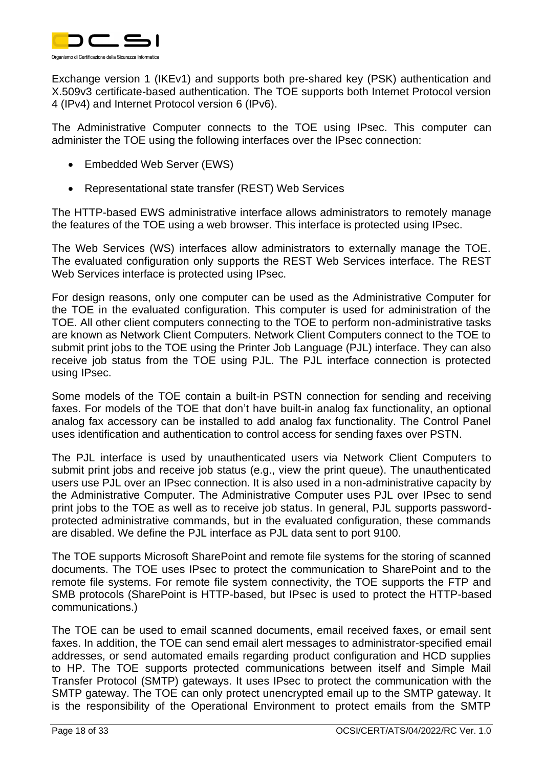

Exchange version 1 (IKEv1) and supports both pre-shared key (PSK) authentication and X.509v3 certificate-based authentication. The TOE supports both Internet Protocol version 4 (IPv4) and Internet Protocol version 6 (IPv6).

The Administrative Computer connects to the TOE using IPsec. This computer can administer the TOE using the following interfaces over the IPsec connection:

- Embedded Web Server (EWS)
- Representational state transfer (REST) Web Services

The HTTP-based EWS administrative interface allows administrators to remotely manage the features of the TOE using a web browser. This interface is protected using IPsec.

The Web Services (WS) interfaces allow administrators to externally manage the TOE. The evaluated configuration only supports the REST Web Services interface. The REST Web Services interface is protected using IPsec.

For design reasons, only one computer can be used as the Administrative Computer for the TOE in the evaluated configuration. This computer is used for administration of the TOE. All other client computers connecting to the TOE to perform non-administrative tasks are known as Network Client Computers. Network Client Computers connect to the TOE to submit print jobs to the TOE using the Printer Job Language (PJL) interface. They can also receive job status from the TOE using PJL. The PJL interface connection is protected using IPsec.

Some models of the TOE contain a built-in PSTN connection for sending and receiving faxes. For models of the TOE that don't have built-in analog fax functionality, an optional analog fax accessory can be installed to add analog fax functionality. The Control Panel uses identification and authentication to control access for sending faxes over PSTN.

The PJL interface is used by unauthenticated users via Network Client Computers to submit print jobs and receive job status (e.g., view the print queue). The unauthenticated users use PJL over an IPsec connection. It is also used in a non-administrative capacity by the Administrative Computer. The Administrative Computer uses PJL over IPsec to send print jobs to the TOE as well as to receive job status. In general, PJL supports passwordprotected administrative commands, but in the evaluated configuration, these commands are disabled. We define the PJL interface as PJL data sent to port 9100.

The TOE supports Microsoft SharePoint and remote file systems for the storing of scanned documents. The TOE uses IPsec to protect the communication to SharePoint and to the remote file systems. For remote file system connectivity, the TOE supports the FTP and SMB protocols (SharePoint is HTTP-based, but IPsec is used to protect the HTTP-based communications.)

The TOE can be used to email scanned documents, email received faxes, or email sent faxes. In addition, the TOE can send email alert messages to administrator-specified email addresses, or send automated emails regarding product configuration and HCD supplies to HP. The TOE supports protected communications between itself and Simple Mail Transfer Protocol (SMTP) gateways. It uses IPsec to protect the communication with the SMTP gateway. The TOE can only protect unencrypted email up to the SMTP gateway. It is the responsibility of the Operational Environment to protect emails from the SMTP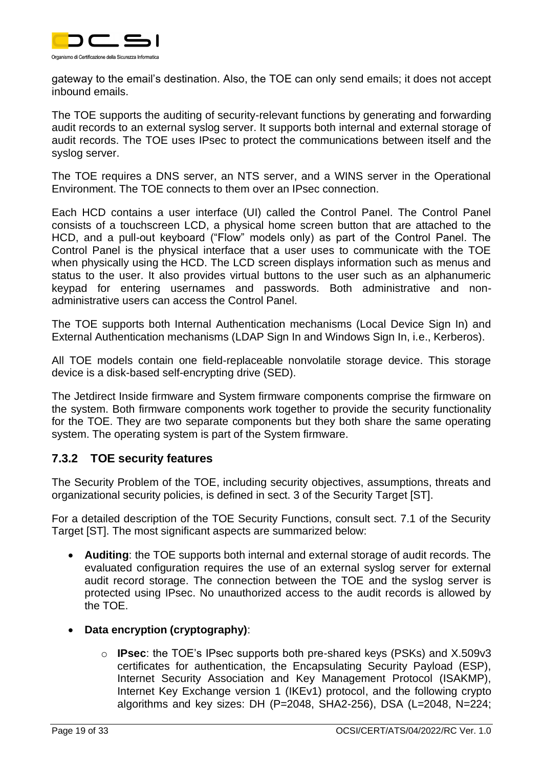

gateway to the email's destination. Also, the TOE can only send emails; it does not accept inbound emails.

The TOE supports the auditing of security-relevant functions by generating and forwarding audit records to an external syslog server. It supports both internal and external storage of audit records. The TOE uses IPsec to protect the communications between itself and the syslog server.

The TOE requires a DNS server, an NTS server, and a WINS server in the Operational Environment. The TOE connects to them over an IPsec connection.

Each HCD contains a user interface (UI) called the Control Panel. The Control Panel consists of a touchscreen LCD, a physical home screen button that are attached to the HCD, and a pull-out keyboard ("Flow" models only) as part of the Control Panel. The Control Panel is the physical interface that a user uses to communicate with the TOE when physically using the HCD. The LCD screen displays information such as menus and status to the user. It also provides virtual buttons to the user such as an alphanumeric keypad for entering usernames and passwords. Both administrative and nonadministrative users can access the Control Panel.

The TOE supports both Internal Authentication mechanisms (Local Device Sign In) and External Authentication mechanisms (LDAP Sign In and Windows Sign In, i.e., Kerberos).

All TOE models contain one field-replaceable nonvolatile storage device. This storage device is a disk-based self-encrypting drive (SED).

The Jetdirect Inside firmware and System firmware components comprise the firmware on the system. Both firmware components work together to provide the security functionality for the TOE. They are two separate components but they both share the same operating system. The operating system is part of the System firmware.

#### <span id="page-18-0"></span>**7.3.2 TOE security features**

The Security Problem of the TOE, including security objectives, assumptions, threats and organizational security policies, is defined in sect. 3 of the Security Target [ST].

For a detailed description of the TOE Security Functions, consult sect. 7.1 of the Security Target [ST]. The most significant aspects are summarized below:

- **Auditing**: the TOE supports both internal and external storage of audit records. The evaluated configuration requires the use of an external syslog server for external audit record storage. The connection between the TOE and the syslog server is protected using IPsec. No unauthorized access to the audit records is allowed by the TOE.
- **Data encryption (cryptography)**:
	- o **IPsec**: the TOE's IPsec supports both pre-shared keys (PSKs) and X.509v3 certificates for authentication, the Encapsulating Security Payload (ESP), Internet Security Association and Key Management Protocol (ISAKMP), Internet Key Exchange version 1 (IKEv1) protocol, and the following crypto algorithms and key sizes: DH (P=2048, SHA2-256), DSA (L=2048, N=224;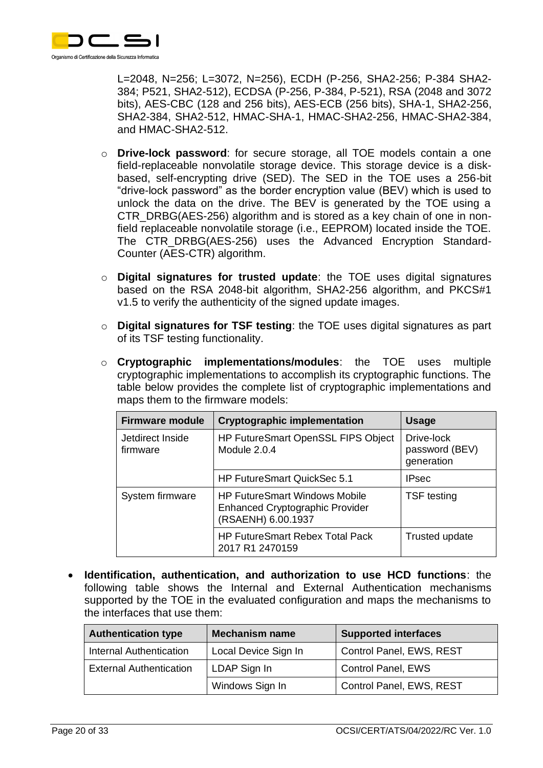

L=2048, N=256; L=3072, N=256), ECDH (P-256, SHA2-256; P-384 SHA2- 384; P521, SHA2-512), ECDSA (P-256, P-384, P-521), RSA (2048 and 3072 bits), AES-CBC (128 and 256 bits), AES-ECB (256 bits), SHA-1, SHA2-256, SHA2-384, SHA2-512, HMAC-SHA-1, HMAC-SHA2-256, HMAC-SHA2-384, and HMAC-SHA2-512.

- o **Drive-lock password**: for secure storage, all TOE models contain a one field-replaceable nonvolatile storage device. This storage device is a diskbased, self-encrypting drive (SED). The SED in the TOE uses a 256-bit "drive-lock password" as the border encryption value (BEV) which is used to unlock the data on the drive. The BEV is generated by the TOE using a CTR\_DRBG(AES-256) algorithm and is stored as a key chain of one in nonfield replaceable nonvolatile storage (i.e., EEPROM) located inside the TOE. The CTR\_DRBG(AES-256) uses the Advanced Encryption Standard-Counter (AES-CTR) algorithm.
- o **Digital signatures for trusted update**: the TOE uses digital signatures based on the RSA 2048-bit algorithm, SHA2-256 algorithm, and PKCS#1 v1.5 to verify the authenticity of the signed update images.
- o **Digital signatures for TSF testing**: the TOE uses digital signatures as part of its TSF testing functionality.
- o **Cryptographic implementations/modules**: the TOE uses multiple cryptographic implementations to accomplish its cryptographic functions. The table below provides the complete list of cryptographic implementations and maps them to the firmware models:

| <b>Firmware module</b>       | <b>Cryptographic implementation</b>                                                                  | <b>Usage</b>                               |
|------------------------------|------------------------------------------------------------------------------------------------------|--------------------------------------------|
| Jetdirect Inside<br>firmware | HP FutureSmart OpenSSL FIPS Object<br>Module 2.0.4                                                   | Drive-lock<br>password (BEV)<br>generation |
|                              | HP FutureSmart QuickSec 5.1                                                                          | <b>IPsec</b>                               |
| System firmware              | <b>HP FutureSmart Windows Mobile</b><br><b>Enhanced Cryptographic Provider</b><br>(RSAENH) 6.00.1937 | <b>TSF</b> testing                         |
|                              | <b>HP FutureSmart Rebex Total Pack</b><br>2017 R1 2470159                                            | Trusted update                             |

• **Identification, authentication, and authorization to use HCD functions**: the following table shows the Internal and External Authentication mechanisms supported by the TOE in the evaluated configuration and maps the mechanisms to the interfaces that use them:

| <b>Authentication type</b>     | <b>Mechanism name</b> | <b>Supported interfaces</b> |
|--------------------------------|-----------------------|-----------------------------|
| Internal Authentication        | Local Device Sign In  | Control Panel, EWS, REST    |
| <b>External Authentication</b> | LDAP Sign In          | <b>Control Panel, EWS</b>   |
|                                | Windows Sign In       | Control Panel, EWS, REST    |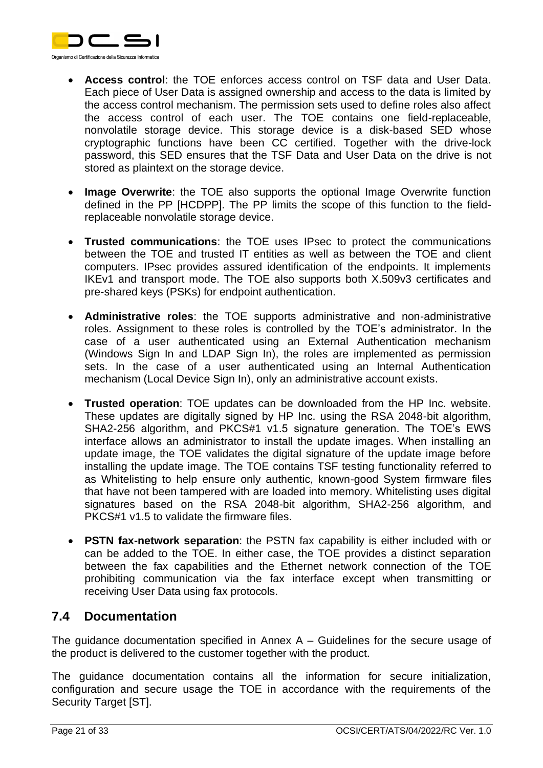

- **Access control**: the TOE enforces access control on TSF data and User Data. Each piece of User Data is assigned ownership and access to the data is limited by the access control mechanism. The permission sets used to define roles also affect the access control of each user. The TOE contains one field-replaceable, nonvolatile storage device. This storage device is a disk-based SED whose cryptographic functions have been CC certified. Together with the drive-lock password, this SED ensures that the TSF Data and User Data on the drive is not stored as plaintext on the storage device.
- **Image Overwrite**: the TOE also supports the optional Image Overwrite function defined in the PP [HCDPP]. The PP limits the scope of this function to the fieldreplaceable nonvolatile storage device.
- **Trusted communications**: the TOE uses IPsec to protect the communications between the TOE and trusted IT entities as well as between the TOE and client computers. IPsec provides assured identification of the endpoints. It implements IKEv1 and transport mode. The TOE also supports both X.509v3 certificates and pre-shared keys (PSKs) for endpoint authentication.
- **Administrative roles**: the TOE supports administrative and non-administrative roles. Assignment to these roles is controlled by the TOE's administrator. In the case of a user authenticated using an External Authentication mechanism (Windows Sign In and LDAP Sign In), the roles are implemented as permission sets. In the case of a user authenticated using an Internal Authentication mechanism (Local Device Sign In), only an administrative account exists.
- **Trusted operation**: TOE updates can be downloaded from the HP Inc. website. These updates are digitally signed by HP Inc. using the RSA 2048-bit algorithm, SHA2-256 algorithm, and PKCS#1 v1.5 signature generation. The TOE's EWS interface allows an administrator to install the update images. When installing an update image, the TOE validates the digital signature of the update image before installing the update image. The TOE contains TSF testing functionality referred to as Whitelisting to help ensure only authentic, known-good System firmware files that have not been tampered with are loaded into memory. Whitelisting uses digital signatures based on the RSA 2048-bit algorithm, SHA2-256 algorithm, and PKCS#1 v1.5 to validate the firmware files.
- **PSTN fax-network separation**: the PSTN fax capability is either included with or can be added to the TOE. In either case, the TOE provides a distinct separation between the fax capabilities and the Ethernet network connection of the TOE prohibiting communication via the fax interface except when transmitting or receiving User Data using fax protocols.

#### <span id="page-20-0"></span>**7.4 Documentation**

The guidance documentation specified in Annex A – [Guidelines for the secure usage of](#page-26-0)  [the product](#page-26-0) is delivered to the customer together with the product.

The guidance documentation contains all the information for secure initialization, configuration and secure usage the TOE in accordance with the requirements of the Security Target [ST].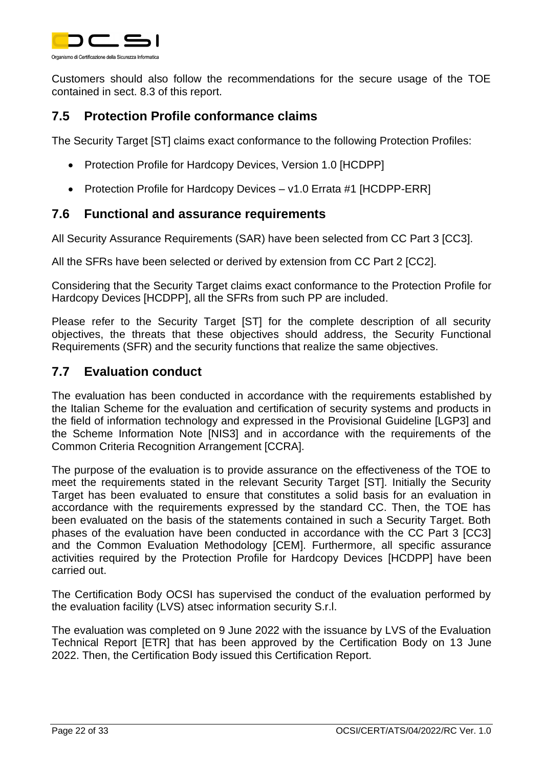

Customers should also follow the recommendations for the secure usage of the TOE contained in sect. [8.3](#page-24-1) of this report.

#### <span id="page-21-0"></span>**7.5 Protection Profile conformance claims**

The Security Target [ST] claims exact conformance to the following Protection Profiles:

- Protection Profile for Hardcopy Devices, Version 1.0 [HCDPP]
- Protection Profile for Hardcopy Devices v1.0 Errata #1 [HCDPP-ERR]

#### <span id="page-21-1"></span>**7.6 Functional and assurance requirements**

All Security Assurance Requirements (SAR) have been selected from CC Part 3 [CC3].

All the SFRs have been selected or derived by extension from CC Part 2 [CC2].

Considering that the Security Target claims exact conformance to the Protection Profile for Hardcopy Devices [HCDPP], all the SFRs from such PP are included.

Please refer to the Security Target [ST] for the complete description of all security objectives, the threats that these objectives should address, the Security Functional Requirements (SFR) and the security functions that realize the same objectives.

#### <span id="page-21-2"></span>**7.7 Evaluation conduct**

The evaluation has been conducted in accordance with the requirements established by the Italian Scheme for the evaluation and certification of security systems and products in the field of information technology and expressed in the Provisional Guideline [LGP3] and the Scheme Information Note [NIS3] and in accordance with the requirements of the Common Criteria Recognition Arrangement [CCRA].

The purpose of the evaluation is to provide assurance on the effectiveness of the TOE to meet the requirements stated in the relevant Security Target [ST]. Initially the Security Target has been evaluated to ensure that constitutes a solid basis for an evaluation in accordance with the requirements expressed by the standard CC. Then, the TOE has been evaluated on the basis of the statements contained in such a Security Target. Both phases of the evaluation have been conducted in accordance with the CC Part 3 [CC3] and the Common Evaluation Methodology [CEM]. Furthermore, all specific assurance activities required by the Protection Profile for Hardcopy Devices [HCDPP] have been carried out.

The Certification Body OCSI has supervised the conduct of the evaluation performed by the evaluation facility (LVS) atsec information security S.r.l.

The evaluation was completed on 9 June 2022 with the issuance by LVS of the Evaluation Technical Report [ETR] that has been approved by the Certification Body on 13 June 2022. Then, the Certification Body issued this Certification Report.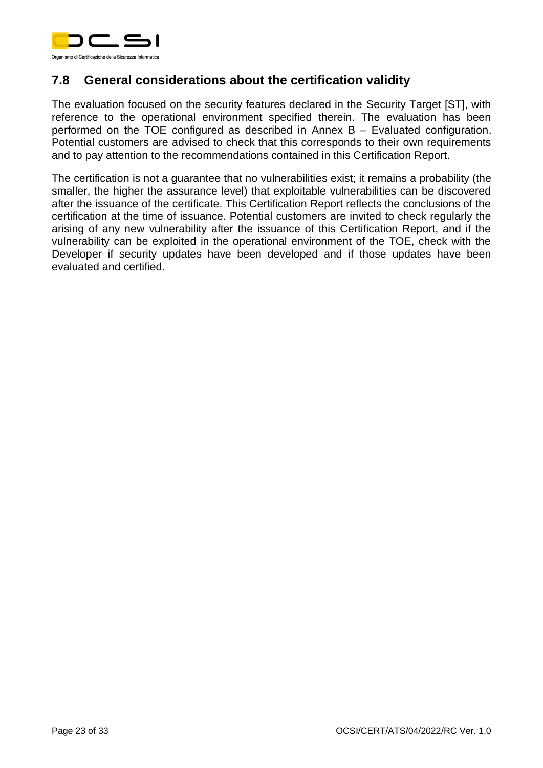

#### <span id="page-22-0"></span>**7.8 General considerations about the certification validity**

The evaluation focused on the security features declared in the Security Target [ST], with reference to the operational environment specified therein. The evaluation has been performed on the TOE configured as described in Annex B – [Evaluated configuration.](#page-28-0) Potential customers are advised to check that this corresponds to their own requirements and to pay attention to the recommendations contained in this Certification Report.

The certification is not a guarantee that no vulnerabilities exist; it remains a probability (the smaller, the higher the assurance level) that exploitable vulnerabilities can be discovered after the issuance of the certificate. This Certification Report reflects the conclusions of the certification at the time of issuance. Potential customers are invited to check regularly the arising of any new vulnerability after the issuance of this Certification Report, and if the vulnerability can be exploited in the operational environment of the TOE, check with the Developer if security updates have been developed and if those updates have been evaluated and certified.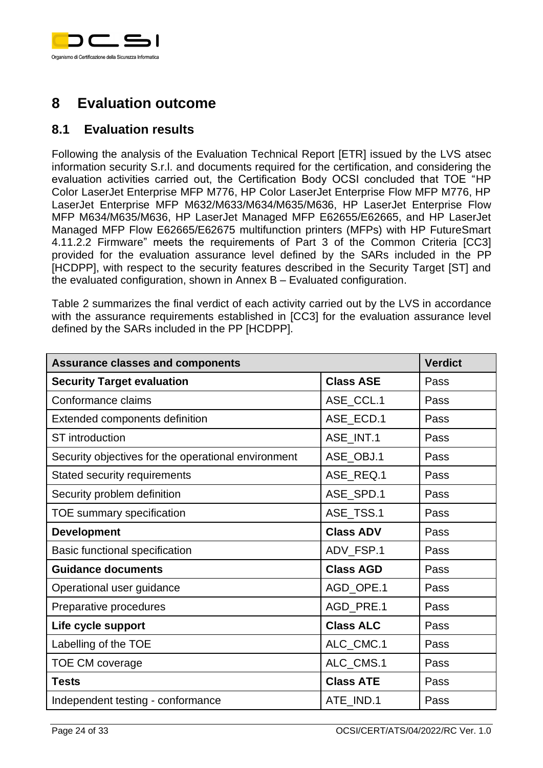

# <span id="page-23-0"></span>**8 Evaluation outcome**

#### <span id="page-23-1"></span>**8.1 Evaluation results**

Following the analysis of the Evaluation Technical Report [ETR] issued by the LVS atsec information security S.r.l. and documents required for the certification, and considering the evaluation activities carried out, the Certification Body OCSI concluded that TOE "HP Color LaserJet Enterprise MFP M776, HP Color LaserJet Enterprise Flow MFP M776, HP LaserJet Enterprise MFP M632/M633/M634/M635/M636, HP LaserJet Enterprise Flow MFP M634/M635/M636, HP LaserJet Managed MFP E62655/E62665, and HP LaserJet Managed MFP Flow E62665/E62675 multifunction printers (MFPs) with HP FutureSmart 4.11.2.2 Firmware" meets the requirements of Part 3 of the Common Criteria [CC3] provided for the evaluation assurance level defined by the SARs included in the PP [HCDPP], with respect to the security features described in the Security Target [ST] and the evaluated configuration, shown in Annex B – [Evaluated configuration.](#page-28-0)

[Table 2](#page-24-2) summarizes the final verdict of each activity carried out by the LVS in accordance with the assurance requirements established in [CC3] for the evaluation assurance level defined by the SARs included in the PP [HCDPP].

| <b>Assurance classes and components</b>             | <b>Verdict</b>   |      |
|-----------------------------------------------------|------------------|------|
| <b>Security Target evaluation</b>                   | <b>Class ASE</b> | Pass |
| Conformance claims                                  | ASE_CCL.1        | Pass |
| Extended components definition                      | ASE_ECD.1        | Pass |
| <b>ST</b> introduction                              | ASE INT.1        | Pass |
| Security objectives for the operational environment | ASE_OBJ.1        | Pass |
| Stated security requirements                        | ASE_REQ.1        | Pass |
| Security problem definition                         | ASE_SPD.1        | Pass |
| TOE summary specification                           | ASE_TSS.1        | Pass |
| <b>Development</b>                                  | <b>Class ADV</b> | Pass |
| Basic functional specification                      | ADV_FSP.1        | Pass |
| <b>Guidance documents</b>                           | <b>Class AGD</b> | Pass |
| Operational user guidance                           | AGD_OPE.1        | Pass |
| Preparative procedures                              | AGD_PRE.1        | Pass |
| Life cycle support                                  | <b>Class ALC</b> | Pass |
| Labelling of the TOE                                | ALC_CMC.1        | Pass |
| <b>TOE CM coverage</b>                              | ALC_CMS.1        | Pass |
| Tests                                               | <b>Class ATE</b> | Pass |
| Independent testing - conformance                   | ATE_IND.1        | Pass |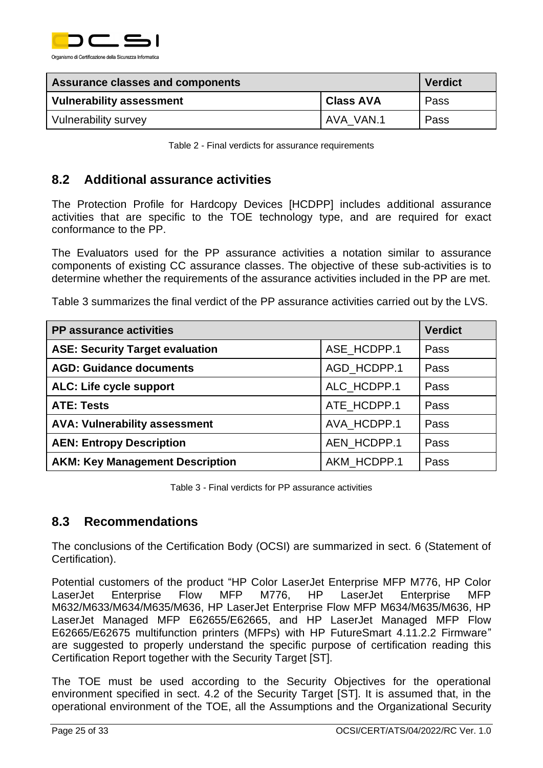

| Assurance classes and components |                  | <b>Verdict</b> |
|----------------------------------|------------------|----------------|
| <b>Vulnerability assessment</b>  | <b>Class AVA</b> | Pass           |
| Vulnerability survey             | AVA VAN.1        | Pass           |

Table 2 - Final verdicts for assurance requirements

#### <span id="page-24-2"></span><span id="page-24-0"></span>**8.2 Additional assurance activities**

The Protection Profile for Hardcopy Devices [HCDPP] includes additional assurance activities that are specific to the TOE technology type, and are required for exact conformance to the PP.

The Evaluators used for the PP assurance activities a notation similar to assurance components of existing CC assurance classes. The objective of these sub-activities is to determine whether the requirements of the assurance activities included in the PP are met.

[Table 3](#page-24-3) summarizes the final verdict of the PP assurance activities carried out by the LVS.

| PP assurance activities                |             | <b>Verdict</b> |
|----------------------------------------|-------------|----------------|
| <b>ASE: Security Target evaluation</b> | ASE_HCDPP.1 | Pass           |
| <b>AGD: Guidance documents</b>         | AGD_HCDPP.1 | Pass           |
| <b>ALC: Life cycle support</b>         | ALC_HCDPP.1 | Pass           |
| <b>ATE: Tests</b>                      | ATE_HCDPP.1 | Pass           |
| <b>AVA: Vulnerability assessment</b>   | AVA_HCDPP.1 | Pass           |
| <b>AEN: Entropy Description</b>        | AEN_HCDPP.1 | Pass           |
| <b>AKM: Key Management Description</b> | AKM HCDPP.1 | Pass           |

Table 3 - Final verdicts for PP assurance activities

#### <span id="page-24-3"></span><span id="page-24-1"></span>**8.3 Recommendations**

The conclusions of the Certification Body (OCSI) are summarized in sect. [6](#page-13-0) (Statement of Certification).

Potential customers of the product "HP Color LaserJet Enterprise MFP M776, HP Color LaserJet Enterprise Flow MFP M776, HP LaserJet Enterprise MFP M632/M633/M634/M635/M636, HP LaserJet Enterprise Flow MFP M634/M635/M636, HP LaserJet Managed MFP E62655/E62665, and HP LaserJet Managed MFP Flow E62665/E62675 multifunction printers (MFPs) with HP FutureSmart 4.11.2.2 Firmware" are suggested to properly understand the specific purpose of certification reading this Certification Report together with the Security Target [ST].

The TOE must be used according to the Security Objectives for the operational environment specified in sect. 4.2 of the Security Target [ST]. It is assumed that, in the operational environment of the TOE, all the Assumptions and the Organizational Security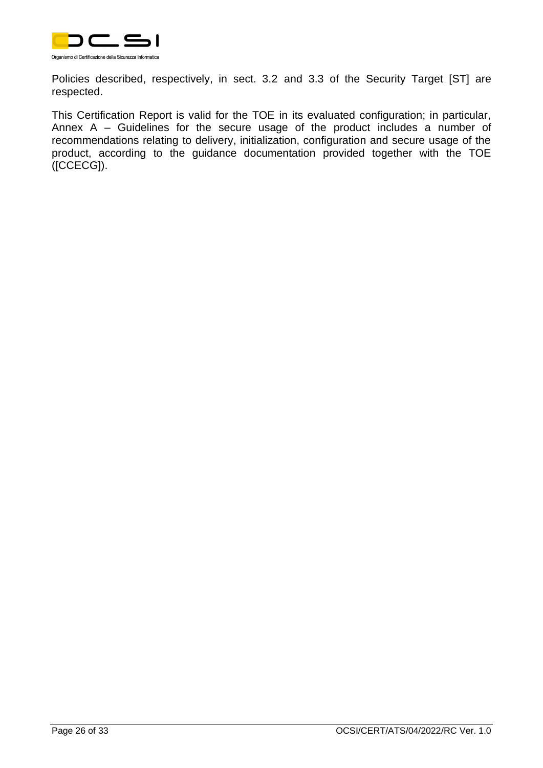

Policies described, respectively, in sect. 3.2 and 3.3 of the Security Target [ST] are respected.

This Certification Report is valid for the TOE in its evaluated configuration; in particular, Annex  $A -$  [Guidelines for the secure usage of the product](#page-26-0) includes a number of recommendations relating to delivery, initialization, configuration and secure usage of the product, according to the guidance documentation provided together with the TOE ([CCECG]).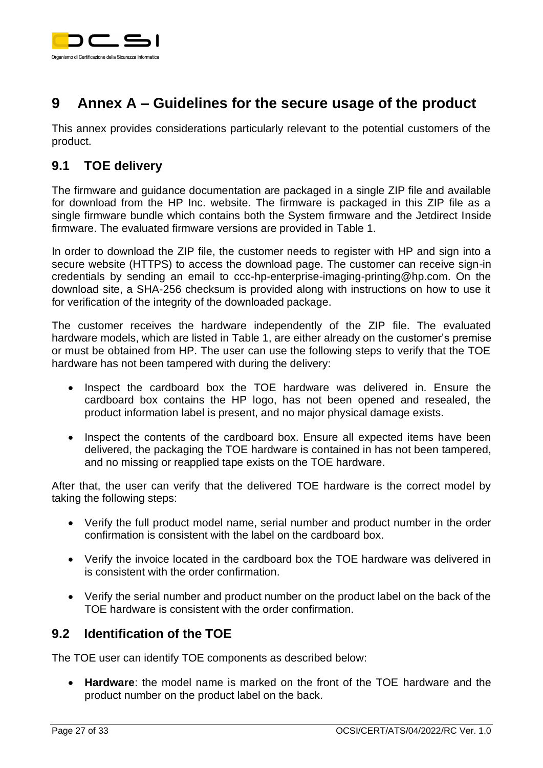

# <span id="page-26-0"></span>**9 Annex A – Guidelines for the secure usage of the product**

This annex provides considerations particularly relevant to the potential customers of the product.

#### <span id="page-26-1"></span>**9.1 TOE delivery**

The firmware and guidance documentation are packaged in a single ZIP file and available for download from the HP Inc. website. The firmware is packaged in this ZIP file as a single firmware bundle which contains both the System firmware and the Jetdirect Inside firmware. The evaluated firmware versions are provided in [Table 1.](#page-16-1)

In order to download the ZIP file, the customer needs to register with HP and sign into a secure website (HTTPS) to access the download page. The customer can receive sign-in credentials by sending an email to ccc-hp-enterprise-imaging-printing@hp.com. On the download site, a SHA-256 checksum is provided along with instructions on how to use it for verification of the integrity of the downloaded package.

The customer receives the hardware independently of the ZIP file. The evaluated hardware models, which are listed in [Table 1,](#page-16-1) are either already on the customer's premise or must be obtained from HP. The user can use the following steps to verify that the TOE hardware has not been tampered with during the delivery:

- Inspect the cardboard box the TOE hardware was delivered in. Ensure the cardboard box contains the HP logo, has not been opened and resealed, the product information label is present, and no major physical damage exists.
- Inspect the contents of the cardboard box. Ensure all expected items have been delivered, the packaging the TOE hardware is contained in has not been tampered, and no missing or reapplied tape exists on the TOE hardware.

After that, the user can verify that the delivered TOE hardware is the correct model by taking the following steps:

- Verify the full product model name, serial number and product number in the order confirmation is consistent with the label on the cardboard box.
- Verify the invoice located in the cardboard box the TOE hardware was delivered in is consistent with the order confirmation.
- Verify the serial number and product number on the product label on the back of the TOE hardware is consistent with the order confirmation.

#### <span id="page-26-2"></span>**9.2 Identification of the TOE**

The TOE user can identify TOE components as described below:

• **Hardware**: the model name is marked on the front of the TOE hardware and the product number on the product label on the back.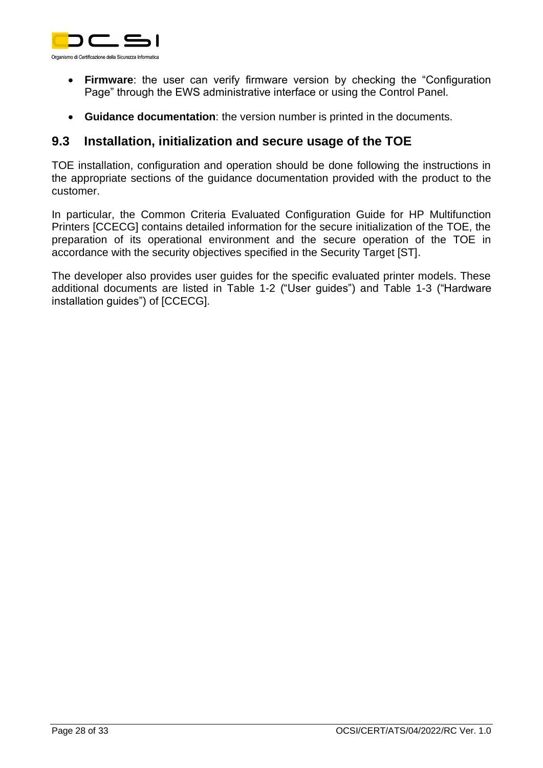

- **Firmware**: the user can verify firmware version by checking the "Configuration Page" through the EWS administrative interface or using the Control Panel.
- **Guidance documentation**: the version number is printed in the documents.

#### <span id="page-27-0"></span>**9.3 Installation, initialization and secure usage of the TOE**

TOE installation, configuration and operation should be done following the instructions in the appropriate sections of the guidance documentation provided with the product to the customer.

In particular, the Common Criteria Evaluated Configuration Guide for HP Multifunction Printers [CCECG] contains detailed information for the secure initialization of the TOE, the preparation of its operational environment and the secure operation of the TOE in accordance with the security objectives specified in the Security Target [ST].

The developer also provides user guides for the specific evaluated printer models. These additional documents are listed in Table 1-2 ("User guides") and Table 1-3 ("Hardware installation guides") of [CCECG].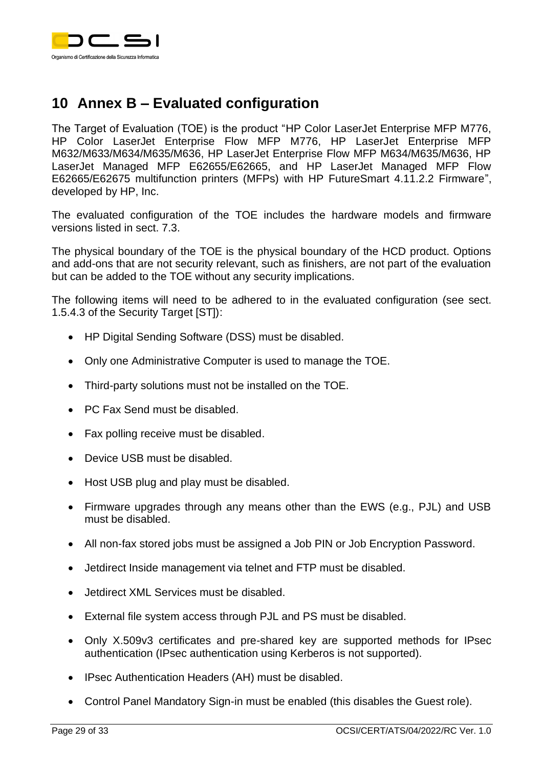

### <span id="page-28-0"></span>**10 Annex B – Evaluated configuration**

The Target of Evaluation (TOE) is the product "HP Color LaserJet Enterprise MFP M776, HP Color LaserJet Enterprise Flow MFP M776, HP LaserJet Enterprise MFP M632/M633/M634/M635/M636, HP LaserJet Enterprise Flow MFP M634/M635/M636, HP LaserJet Managed MFP E62655/E62665, and HP LaserJet Managed MFP Flow E62665/E62675 multifunction printers (MFPs) with HP FutureSmart 4.11.2.2 Firmware", developed by HP, Inc.

The evaluated configuration of the TOE includes the hardware models and firmware versions listed in sect. [7.3.](#page-15-0)

The physical boundary of the TOE is the physical boundary of the HCD product. Options and add-ons that are not security relevant, such as finishers, are not part of the evaluation but can be added to the TOE without any security implications.

The following items will need to be adhered to in the evaluated configuration (see sect. 1.5.4.3 of the Security Target [ST]):

- HP Digital Sending Software (DSS) must be disabled.
- Only one Administrative Computer is used to manage the TOE.
- Third-party solutions must not be installed on the TOE.
- PC Fax Send must be disabled.
- Fax polling receive must be disabled.
- Device USB must be disabled.
- Host USB plug and play must be disabled.
- Firmware upgrades through any means other than the EWS (e.g., PJL) and USB must be disabled.
- All non-fax stored jobs must be assigned a Job PIN or Job Encryption Password.
- Jetdirect Inside management via telnet and FTP must be disabled.
- Jetdirect XML Services must be disabled.
- External file system access through PJL and PS must be disabled.
- Only X.509v3 certificates and pre-shared key are supported methods for IPsec authentication (IPsec authentication using Kerberos is not supported).
- IPsec Authentication Headers (AH) must be disabled.
- Control Panel Mandatory Sign-in must be enabled (this disables the Guest role).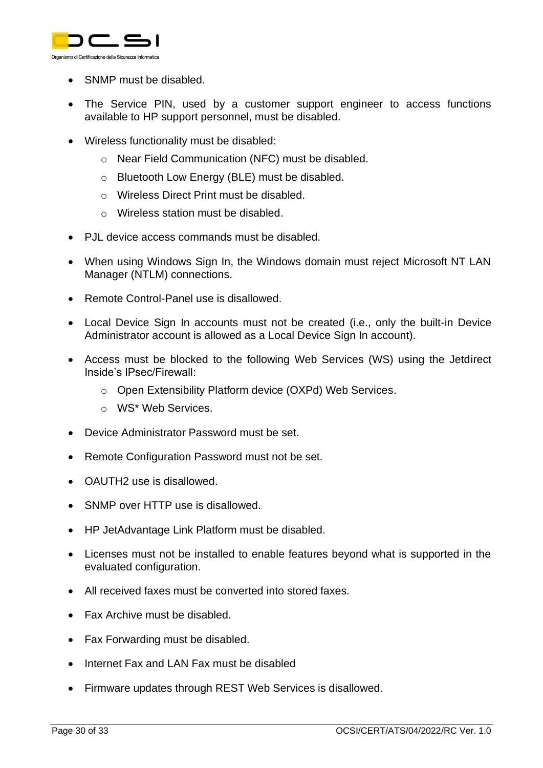

- SNMP must be disabled.
- The Service PIN, used by a customer support engineer to access functions available to HP support personnel, must be disabled.
- Wireless functionality must be disabled:
	- o Near Field Communication (NFC) must be disabled.
	- o Bluetooth Low Energy (BLE) must be disabled.
	- o Wireless Direct Print must be disabled.
	- o Wireless station must be disabled.
- PJL device access commands must be disabled.
- When using Windows Sign In, the Windows domain must reject Microsoft NT LAN Manager (NTLM) connections.
- Remote Control-Panel use is disallowed.
- Local Device Sign In accounts must not be created (i.e., only the built-in Device Administrator account is allowed as a Local Device Sign In account).
- Access must be blocked to the following Web Services (WS) using the Jetdirect Inside's IPsec/Firewall:
	- o Open Extensibility Platform device (OXPd) Web Services.
	- o WS\* Web Services.
- Device Administrator Password must be set.
- Remote Configuration Password must not be set.
- OAUTH2 use is disallowed.
- SNMP over HTTP use is disallowed.
- HP JetAdvantage Link Platform must be disabled.
- Licenses must not be installed to enable features beyond what is supported in the evaluated configuration.
- All received faxes must be converted into stored faxes.
- Fax Archive must be disabled.
- Fax Forwarding must be disabled.
- Internet Fax and LAN Fax must be disabled
- Firmware updates through REST Web Services is disallowed.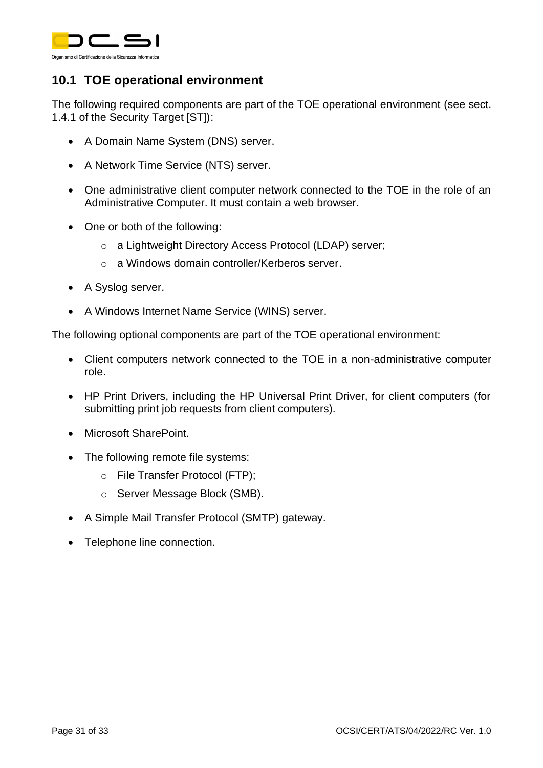

#### <span id="page-30-0"></span>**10.1 TOE operational environment**

The following required components are part of the TOE operational environment (see sect. 1.4.1 of the Security Target [ST]):

- A Domain Name System (DNS) server.
- A Network Time Service (NTS) server.
- One administrative client computer network connected to the TOE in the role of an Administrative Computer. It must contain a web browser.
- One or both of the following:
	- o a Lightweight Directory Access Protocol (LDAP) server;
	- o a Windows domain controller/Kerberos server.
- A Syslog server.
- A Windows Internet Name Service (WINS) server.

The following optional components are part of the TOE operational environment:

- Client computers network connected to the TOE in a non-administrative computer role.
- HP Print Drivers, including the HP Universal Print Driver, for client computers (for submitting print job requests from client computers).
- Microsoft SharePoint.
- The following remote file systems:
	- o File Transfer Protocol (FTP);
	- o Server Message Block (SMB).
- A Simple Mail Transfer Protocol (SMTP) gateway.
- Telephone line connection.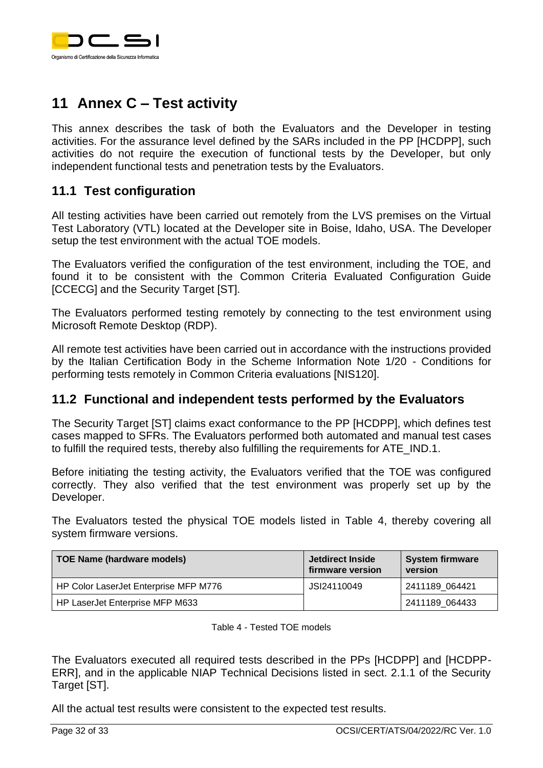

# <span id="page-31-0"></span>**11 Annex C – Test activity**

This annex describes the task of both the Evaluators and the Developer in testing activities. For the assurance level defined by the SARs included in the PP [HCDPP], such activities do not require the execution of functional tests by the Developer, but only independent functional tests and penetration tests by the Evaluators.

#### <span id="page-31-1"></span>**11.1 Test configuration**

All testing activities have been carried out remotely from the LVS premises on the Virtual Test Laboratory (VTL) located at the Developer site in Boise, Idaho, USA. The Developer setup the test environment with the actual TOE models.

The Evaluators verified the configuration of the test environment, including the TOE, and found it to be consistent with the Common Criteria Evaluated Configuration Guide [CCECG] and the Security Target [ST].

The Evaluators performed testing remotely by connecting to the test environment using Microsoft Remote Desktop (RDP).

All remote test activities have been carried out in accordance with the instructions provided by the Italian Certification Body in the Scheme Information Note 1/20 - Conditions for performing tests remotely in Common Criteria evaluations [NIS120].

#### <span id="page-31-2"></span>**11.2 Functional and independent tests performed by the Evaluators**

The Security Target [ST] claims exact conformance to the PP [HCDPP], which defines test cases mapped to SFRs. The Evaluators performed both automated and manual test cases to fulfill the required tests, thereby also fulfilling the requirements for ATE\_IND.1.

Before initiating the testing activity, the Evaluators verified that the TOE was configured correctly. They also verified that the test environment was properly set up by the Developer.

The Evaluators tested the physical TOE models listed in [Table 4,](#page-31-3) thereby covering all system firmware versions.

| <b>TOE Name (hardware models)</b>     | Jetdirect Inside<br>firmware version | <b>System firmware</b><br>version |
|---------------------------------------|--------------------------------------|-----------------------------------|
| HP Color LaserJet Enterprise MFP M776 | JSI24110049                          | 2411189 064421                    |
| HP LaserJet Enterprise MFP M633       |                                      | 2411189 064433                    |

Table 4 - Tested TOE models

<span id="page-31-3"></span>The Evaluators executed all required tests described in the PPs [HCDPP] and [HCDPP-ERR], and in the applicable NIAP Technical Decisions listed in sect. 2.1.1 of the Security Target [ST].

All the actual test results were consistent to the expected test results.